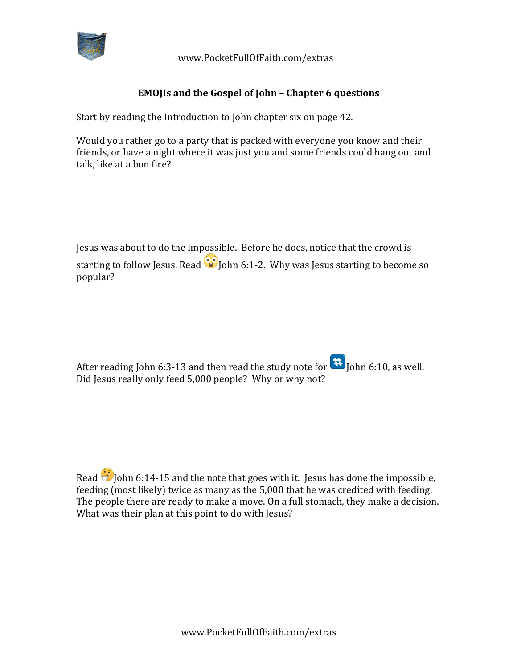

 www.PocketFullOfFaith.com/extras

## **EMOJIs and the Gospel of John - Chapter 6 questions**

Start by reading the Introduction to John chapter six on page 42.

Would you rather go to a party that is packed with everyone you know and their friends, or have a night where it was just you and some friends could hang out and talk, like at a bon fire?

Jesus was about to do the impossible. Before he does, notice that the crowd is starting to follow Jesus. Read  $\ddot{\bullet}$  John 6:1-2. Why was Jesus starting to become so popular?

After reading John 6:3-13 and then read the study note for  $\frac{41}{10}$  John 6:10, as well. Did Jesus really only feed 5,000 people? Why or why not?

Read  $\ddot{\bullet}$  John 6:14-15 and the note that goes with it. Jesus has done the impossible, feeding (most likely) twice as many as the 5,000 that he was credited with feeding. The people there are ready to make a move. On a full stomach, they make a decision. What was their plan at this point to do with Jesus?